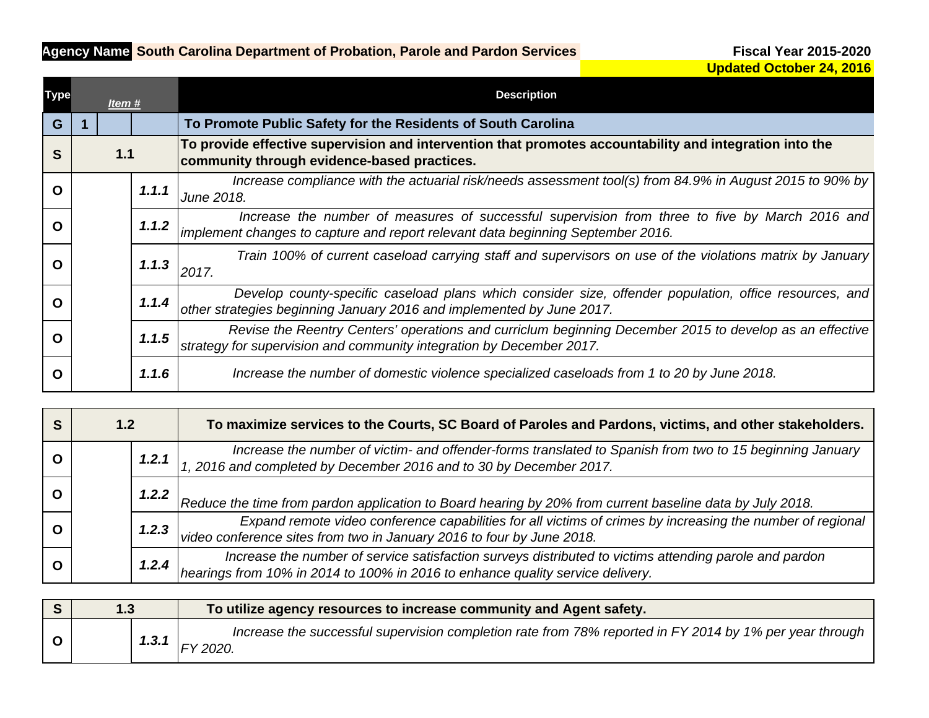## **Agency Name: South Carolina Department of Probation, Parole and Pardon Services**

| <b>Type</b> | Item# |  |       | <b>Description</b>                                                                                                                                                                |
|-------------|-------|--|-------|-----------------------------------------------------------------------------------------------------------------------------------------------------------------------------------|
| G           |       |  |       | To Promote Public Safety for the Residents of South Carolina                                                                                                                      |
| S           | $1.1$ |  |       | To provide effective supervision and intervention that promotes accountability and integration into the<br>community through evidence-based practices.                            |
| O           |       |  | 1.1.1 | Increase compliance with the actuarial risk/needs assessment tool(s) from 84.9% in August 2015 to 90% by<br>June 2018.                                                            |
| $\Omega$    |       |  | 1.1.2 | Increase the number of measures of successful supervision from three to five by March 2016 and<br>implement changes to capture and report relevant data beginning September 2016. |
| $\Omega$    |       |  | 1.1.3 | Train 100% of current caseload carrying staff and supervisors on use of the violations matrix by January<br>2017.                                                                 |
| $\Omega$    |       |  | 1.1.4 | Develop county-specific caseload plans which consider size, offender population, office resources, and<br>other strategies beginning January 2016 and implemented by June 2017.   |
| $\Omega$    |       |  | 1.1.5 | Revise the Reentry Centers' operations and curriclum beginning December 2015 to develop as an effective<br>strategy for supervision and community integration by December 2017.   |
| O           |       |  | 1.1.6 | Increase the number of domestic violence specialized caseloads from 1 to 20 by June 2018.                                                                                         |

| 1.2   | To maximize services to the Courts, SC Board of Paroles and Pardons, victims, and other stakeholders.                                                                                             |
|-------|---------------------------------------------------------------------------------------------------------------------------------------------------------------------------------------------------|
| 1.2.1 | Increase the number of victim- and offender-forms translated to Spanish from two to 15 beginning January<br>1, 2016 and completed by December 2016 and to 30 by December 2017.                    |
|       | 1.2.2<br>Reduce the time from pardon application to Board hearing by 20% from current baseline data by July 2018.                                                                                 |
| 1.2.3 | Expand remote video conference capabilities for all victims of crimes by increasing the number of regional<br>video conference sites from two in January 2016 to four by June 2018.               |
|       | Increase the number of service satisfaction surveys distributed to victims attending parole and pardon<br>hearings from 10% in 2014 to 100% in 2016 to enhance quality service delivery.<br>1.2.4 |

| 1.3 |       | To utilize agency resources to increase community and Agent safety.                                                               |
|-----|-------|-----------------------------------------------------------------------------------------------------------------------------------|
|     | 1.3.1 | Increase the successful supervision completion rate from 78% reported in FY 2014 by 1% per year through  <br><sup>-</sup> Y 2020. |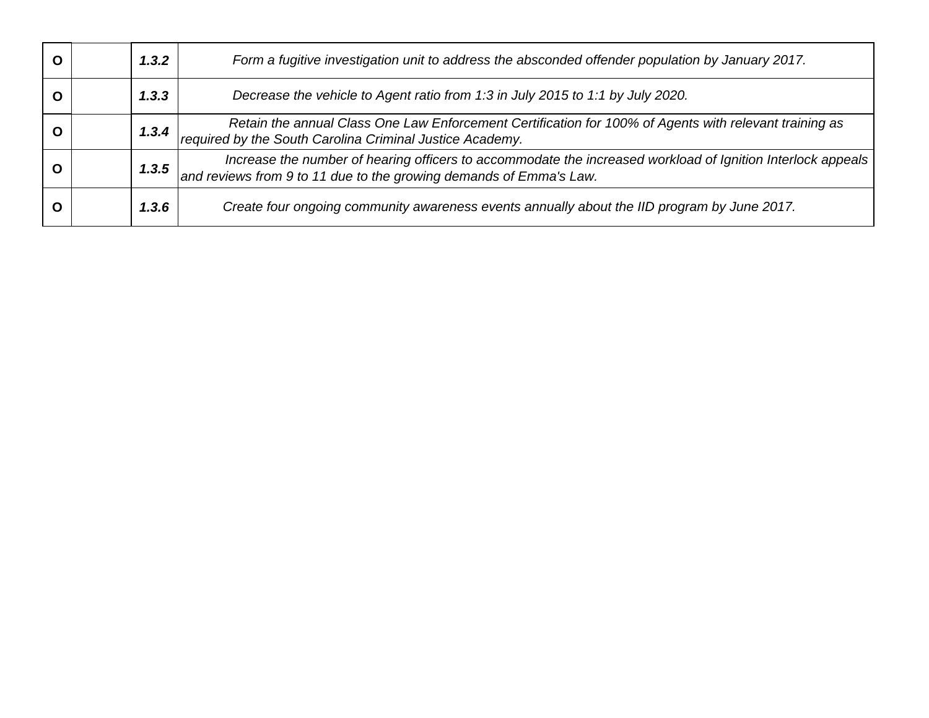|  | 1.3.2   | Form a fugitive investigation unit to address the absconded offender population by January 2017.                                                                                  |
|--|---------|-----------------------------------------------------------------------------------------------------------------------------------------------------------------------------------|
|  | 1, 3, 3 | Decrease the vehicle to Agent ratio from 1:3 in July 2015 to 1:1 by July 2020.                                                                                                    |
|  | 1,3,4   | Retain the annual Class One Law Enforcement Certification for 100% of Agents with relevant training as<br>required by the South Carolina Criminal Justice Academy.                |
|  | 1.3.5   | Increase the number of hearing officers to accommodate the increased workload of Ignition Interlock appeals<br>and reviews from 9 to 11 due to the growing demands of Emma's Law. |
|  | 1,3,6   | Create four ongoing community awareness events annually about the IID program by June 2017.                                                                                       |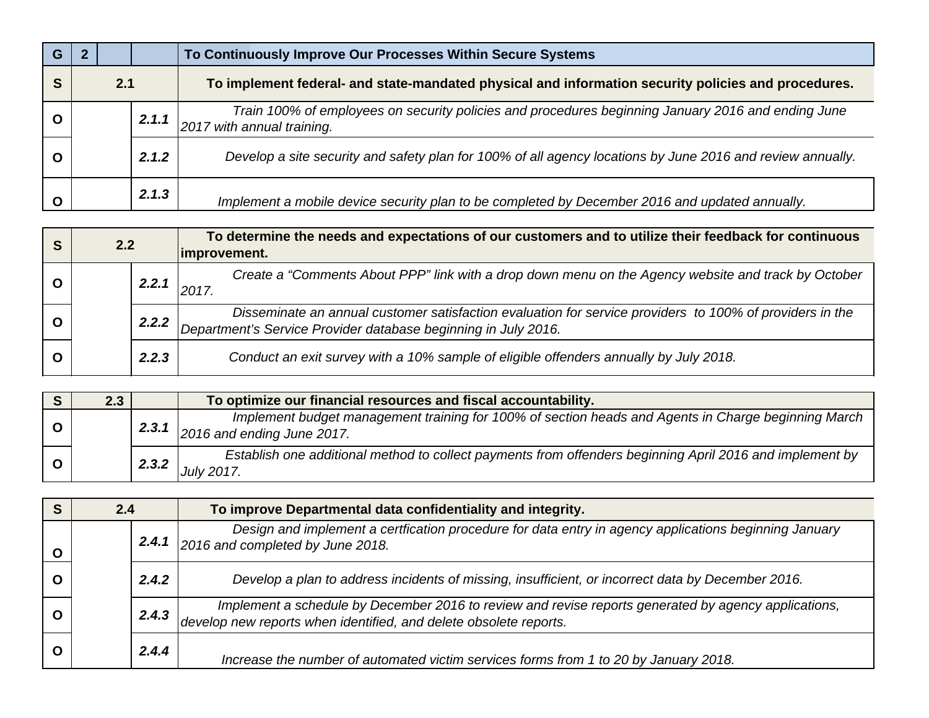| G           |     |       | To Continuously Improve Our Processes Within Secure Systems                                                                      |
|-------------|-----|-------|----------------------------------------------------------------------------------------------------------------------------------|
| S           | 2.1 |       | To implement federal- and state-mandated physical and information security policies and procedures.                              |
| $\mathbf O$ |     | 2.1.1 | Train 100% of employees on security policies and procedures beginning January 2016 and ending June<br>2017 with annual training. |
| $\mathbf O$ |     | 2.1.2 | Develop a site security and safety plan for 100% of all agency locations by June 2016 and review annually.                       |
| $\mathbf O$ |     | 2.1.3 | Implement a mobile device security plan to be completed by December 2016 and updated annually.                                   |

| S        | 2.2 |       | To determine the needs and expectations of our customers and to utilize their feedback for continuous<br>improvement.                                                   |
|----------|-----|-------|-------------------------------------------------------------------------------------------------------------------------------------------------------------------------|
|          |     | 2.2.1 | Create a "Comments About PPP" link with a drop down menu on the Agency website and track by October<br>2017                                                             |
| $\Omega$ |     | 2.2.2 | Disseminate an annual customer satisfaction evaluation for service providers to 100% of providers in the Department's Service Provider database beginning in July 2016. |
| O        |     | 2.2.3 | Conduct an exit survey with a 10% sample of eligible offenders annually by July 2018.                                                                                   |

|          | 2.3 |       | To optimize our financial resources and fiscal accountability.                                                                    |
|----------|-----|-------|-----------------------------------------------------------------------------------------------------------------------------------|
|          |     | 2.3.1 | Implement budget management training for 100% of section heads and Agents in Charge beginning March<br>2016 and ending June 2017. |
| <b>O</b> |     | 2.3.2 | Establish one additional method to collect payments from offenders beginning April 2016 and implement by<br><b>July 2017.</b>     |

| S           | 2.4 |       | To improve Departmental data confidentiality and integrity.                                                                                                            |
|-------------|-----|-------|------------------------------------------------------------------------------------------------------------------------------------------------------------------------|
| $\mathbf O$ |     | 2.4.1 | Design and implement a certfication procedure for data entry in agency applications beginning January<br>2016 and completed by June 2018.                              |
| $\Omega$    |     | 2.4.2 | Develop a plan to address incidents of missing, insufficient, or incorrect data by December 2016.                                                                      |
| $\Omega$    |     | 2.4.3 | Implement a schedule by December 2016 to review and revise reports generated by agency applications, develop new reports when identified, and delete obsolete reports. |
| $\Omega$    |     | 2.4.4 | Increase the number of automated victim services forms from 1 to 20 by January 2018.                                                                                   |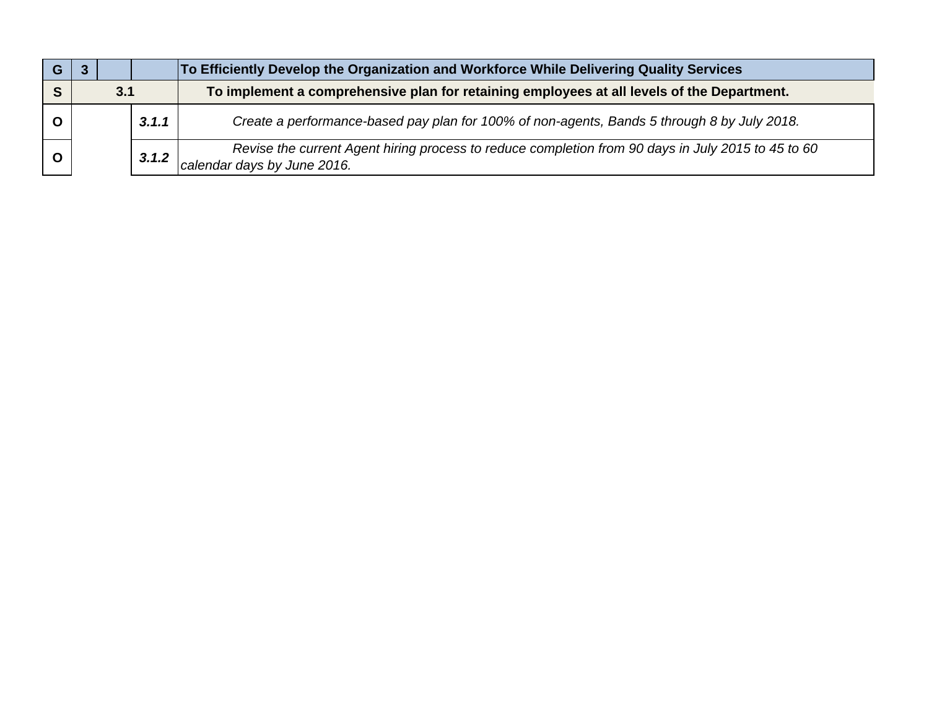|     |  |       | To Efficiently Develop the Organization and Workforce While Delivering Quality Services     |                                                                                                                                   |
|-----|--|-------|---------------------------------------------------------------------------------------------|-----------------------------------------------------------------------------------------------------------------------------------|
| 3.1 |  |       | To implement a comprehensive plan for retaining employees at all levels of the Department.  |                                                                                                                                   |
|     |  | 3.1.1 | Create a performance-based pay plan for 100% of non-agents, Bands 5 through 8 by July 2018. |                                                                                                                                   |
|     |  |       | 3.1.2                                                                                       | Revise the current Agent hiring process to reduce completion from 90 days in July 2015 to 45 to 60<br>calendar days by June 2016. |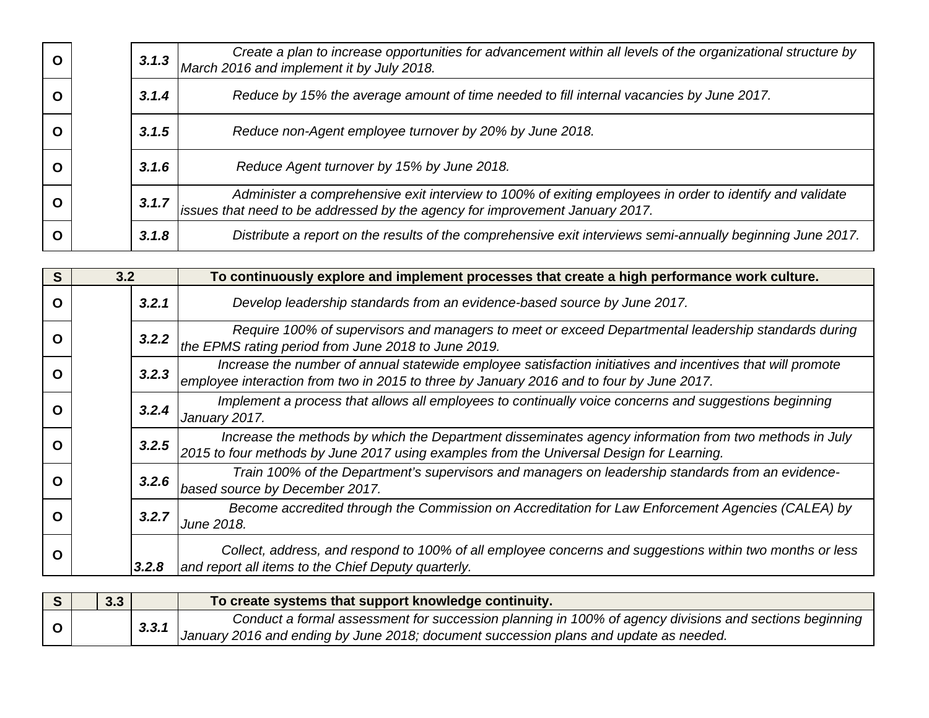|  | 3.1.3 | Create a plan to increase opportunities for advancement within all levels of the organizational structure by<br>March 2016 and implement it by July 2018.                                |
|--|-------|------------------------------------------------------------------------------------------------------------------------------------------------------------------------------------------|
|  | 3.1.4 | Reduce by 15% the average amount of time needed to fill internal vacancies by June 2017.                                                                                                 |
|  | 3.1.5 | Reduce non-Agent employee turnover by 20% by June 2018.                                                                                                                                  |
|  | 3.1.6 | Reduce Agent turnover by 15% by June 2018.                                                                                                                                               |
|  | 3.1.7 | Administer a comprehensive exit interview to 100% of exiting employees in order to identify and validate<br>issues that need to be addressed by the agency for improvement January 2017. |
|  | 3.1.8 | Distribute a report on the results of the comprehensive exit interviews semi-annually beginning June 2017.                                                                               |

| S | 3.2 |       | To continuously explore and implement processes that create a high performance work culture.                                                                                                           |
|---|-----|-------|--------------------------------------------------------------------------------------------------------------------------------------------------------------------------------------------------------|
| O |     | 3.2.1 | Develop leadership standards from an evidence-based source by June 2017.                                                                                                                               |
| ი |     | 3.2.2 | Require 100% of supervisors and managers to meet or exceed Departmental leadership standards during<br>the EPMS rating period from June 2018 to June 2019.                                             |
| О |     | 3.2.3 | Increase the number of annual statewide employee satisfaction initiatives and incentives that will promote<br>employee interaction from two in 2015 to three by January 2016 and to four by June 2017. |
| О |     | 3.2.4 | Implement a process that allows all employees to continually voice concerns and suggestions beginning<br>January 2017.                                                                                 |
| O |     | 3.2.5 | Increase the methods by which the Department disseminates agency information from two methods in July<br>2015 to four methods by June 2017 using examples from the Universal Design for Learning.      |
| O |     | 3.2.6 | Train 100% of the Department's supervisors and managers on leadership standards from an evidence-<br>based source by December 2017.                                                                    |
| O |     | 3.2.7 | Become accredited through the Commission on Accreditation for Law Enforcement Agencies (CALEA) by<br>June 2018.                                                                                        |
| O |     | 3.2.8 | Collect, address, and respond to 100% of all employee concerns and suggestions within two months or less<br>and report all items to the Chief Deputy quarterly.                                        |

| 3.3 |       | To create systems that support knowledge continuity.                                                   |
|-----|-------|--------------------------------------------------------------------------------------------------------|
|     |       | Conduct a formal assessment for succession planning in 100% of agency divisions and sections beginning |
|     | 3.3.1 | January 2016 and ending by June 2018; document succession plans and update as needed.                  |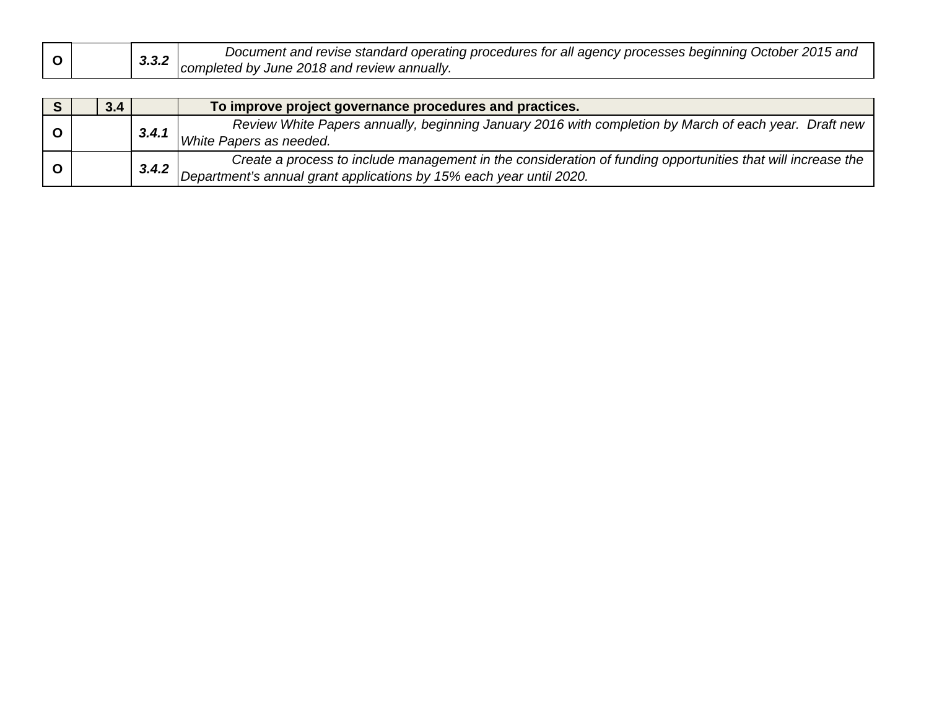|  |  | J.J.∠ | Document and revise standard operating procedures for all agency processes beginning October 2015 and |
|--|--|-------|-------------------------------------------------------------------------------------------------------|
|  |  |       | completed by June 2018 and review annually.                                                           |

|  | 3.4 |       | To improve project governance procedures and practices.                                                                                                                            |
|--|-----|-------|------------------------------------------------------------------------------------------------------------------------------------------------------------------------------------|
|  |     | 3.4.1 | Review White Papers annually, beginning January 2016 with completion by March of each year. Draft new<br>White Papers as needed.                                                   |
|  |     | 3.4.2 | Create a process to include management in the consideration of funding opportunities that will increase the<br>Department's annual grant applications by 15% each year until 2020. |